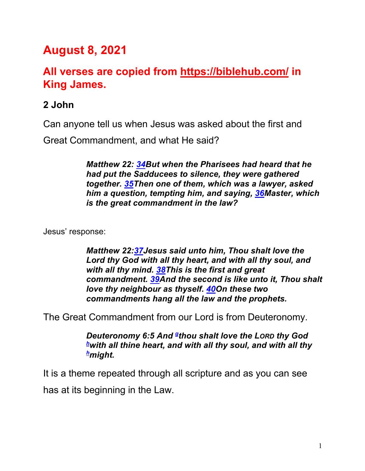# **August 8, 2021**

# **All verses are copied from https://biblehub.com/ in King James.**

## **2 John**

Can anyone tell us when Jesus was asked about the first and

Great Commandment, and what He said?

*Matthew 22: 34But when the Pharisees had heard that he had put the Sadducees to silence, they were gathered together. 35Then one of them, which was a lawyer, asked him a question, tempting him, and saying, 36Master, which is the great commandment in the law?* 

Jesus' response:

*Matthew 22:37Jesus said unto him, Thou shalt love the Lord thy God with all thy heart, and with all thy soul, and with all thy mind. 38This is the first and great commandment. 39And the second is like unto it, Thou shalt love thy neighbour as thyself. 40On these two commandments hang all the law and the prophets.*

The Great Commandment from our Lord is from Deuteronomy.

*Deuteronomy 6:5 And gthou shalt love the LORD thy God hwith all thine heart, and with all thy soul, and with all thy hmight.* 

It is a theme repeated through all scripture and as you can see has at its beginning in the Law.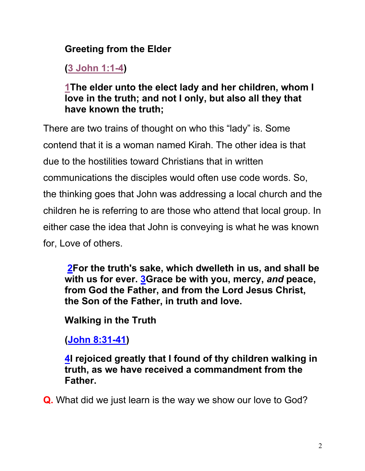# **Greeting from the Elder**

**(3 John 1:1-4)**

## **1The elder unto the elect lady and her children, whom I love in the truth; and not I only, but also all they that have known the truth;**

There are two trains of thought on who this "lady" is. Some contend that it is a woman named Kirah. The other idea is that due to the hostilities toward Christians that in written communications the disciples would often use code words. So, the thinking goes that John was addressing a local church and the children he is referring to are those who attend that local group. In either case the idea that John is conveying is what he was known for, Love of others.

**2For the truth's sake, which dwelleth in us, and shall be with us for ever. 3Grace be with you, mercy,** *and* **peace, from God the Father, and from the Lord Jesus Christ, the Son of the Father, in truth and love.**

**Walking in the Truth**

**(John 8:31-41)**

**4I rejoiced greatly that I found of thy children walking in truth, as we have received a commandment from the Father.**

**Q.** What did we just learn is the way we show our love to God?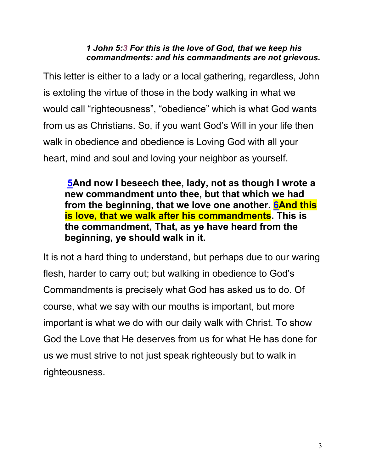#### *1 John 5:3 For this is the love of God, that we keep his commandments: and his commandments are not grievous.*

This letter is either to a lady or a local gathering, regardless, John is extoling the virtue of those in the body walking in what we would call "righteousness", "obedience" which is what God wants from us as Christians. So, if you want God's Will in your life then walk in obedience and obedience is Loving God with all your heart, mind and soul and loving your neighbor as yourself.

**5And now I beseech thee, lady, not as though I wrote a new commandment unto thee, but that which we had from the beginning, that we love one another. 6And this is love, that we walk after his commandments. This is the commandment, That, as ye have heard from the beginning, ye should walk in it.**

It is not a hard thing to understand, but perhaps due to our waring flesh, harder to carry out; but walking in obedience to God's Commandments is precisely what God has asked us to do. Of course, what we say with our mouths is important, but more important is what we do with our daily walk with Christ. To show God the Love that He deserves from us for what He has done for us we must strive to not just speak righteously but to walk in righteousness.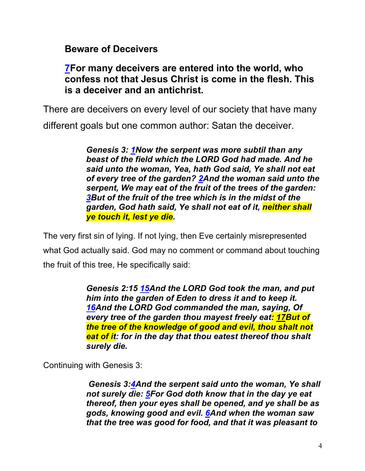#### **Beware of Deceivers**

#### **7For many deceivers are entered into the world, who confess not that Jesus Christ is come in the flesh. This is a deceiver and an antichrist.**

There are deceivers on every level of our society that have many

different goals but one common author: Satan the deceiver.

*Genesis 3: 1Now the serpent was more subtil than any beast of the field which the LORD God had made. And he said unto the woman, Yea, hath God said, Ye shall not eat of every tree of the garden? 2And the woman said unto the serpent, We may eat of the fruit of the trees of the garden: 3But of the fruit of the tree which is in the midst of the garden, God hath said, Ye shall not eat of it, neither shall ye touch it, lest ye die.*

The very first sin of lying. If not lying, then Eve certainly misrepresented what God actually said. God may no comment or command about touching the fruit of this tree, He specifically said:

> *Genesis 2:15 15And the LORD God took the man, and put him into the garden of Eden to dress it and to keep it. 16And the LORD God commanded the man, saying, Of every tree of the garden thou mayest freely eat: 17But of the tree of the knowledge of good and evil, thou shalt not eat of it: for in the day that thou eatest thereof thou shalt surely die.*

Continuing with Genesis 3:

*Genesis 3:4And the serpent said unto the woman, Ye shall not surely die: 5For God doth know that in the day ye eat thereof, then your eyes shall be opened, and ye shall be as gods, knowing good and evil. 6And when the woman saw that the tree was good for food, and that it was pleasant to*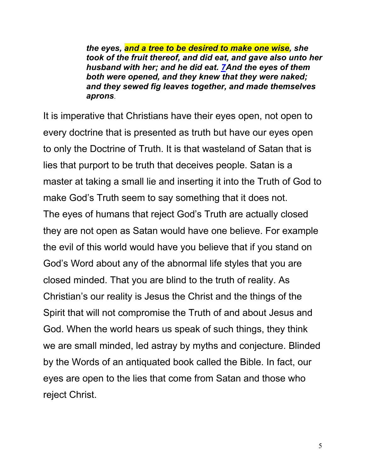*the eyes, and a tree to be desired to make one wise, she took of the fruit thereof, and did eat, and gave also unto her husband with her; and he did eat. 7And the eyes of them both were opened, and they knew that they were naked; and they sewed fig leaves together, and made themselves aprons*.

It is imperative that Christians have their eyes open, not open to every doctrine that is presented as truth but have our eyes open to only the Doctrine of Truth. It is that wasteland of Satan that is lies that purport to be truth that deceives people. Satan is a master at taking a small lie and inserting it into the Truth of God to make God's Truth seem to say something that it does not. The eyes of humans that reject God's Truth are actually closed they are not open as Satan would have one believe. For example the evil of this world would have you believe that if you stand on God's Word about any of the abnormal life styles that you are closed minded. That you are blind to the truth of reality. As Christian's our reality is Jesus the Christ and the things of the Spirit that will not compromise the Truth of and about Jesus and God. When the world hears us speak of such things, they think we are small minded, led astray by myths and conjecture. Blinded by the Words of an antiquated book called the Bible. In fact, our eyes are open to the lies that come from Satan and those who reject Christ.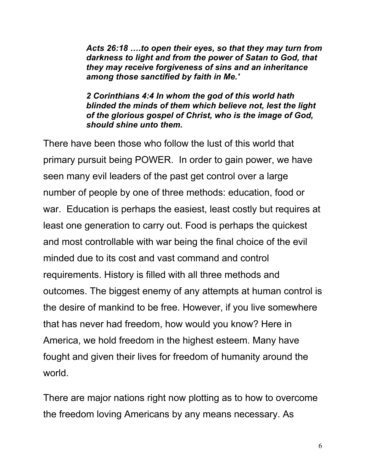*Acts 26:18 ….to open their eyes, so that they may turn from darkness to light and from the power of Satan to God, that they may receive forgiveness of sins and an inheritance among those sanctified by faith in Me.'*

*2 Corinthians 4:4 In whom the god of this world hath blinded the minds of them which believe not, lest the light of the glorious gospel of Christ, who is the image of God, should shine unto them.*

There have been those who follow the lust of this world that primary pursuit being POWER. In order to gain power, we have seen many evil leaders of the past get control over a large number of people by one of three methods: education, food or war. Education is perhaps the easiest, least costly but requires at least one generation to carry out. Food is perhaps the quickest and most controllable with war being the final choice of the evil minded due to its cost and vast command and control requirements. History is filled with all three methods and outcomes. The biggest enemy of any attempts at human control is the desire of mankind to be free. However, if you live somewhere that has never had freedom, how would you know? Here in America, we hold freedom in the highest esteem. Many have fought and given their lives for freedom of humanity around the world.

There are major nations right now plotting as to how to overcome the freedom loving Americans by any means necessary. As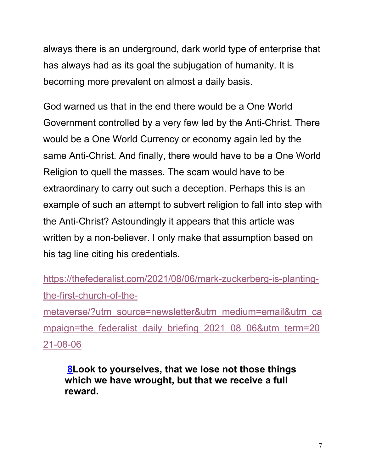always there is an underground, dark world type of enterprise that has always had as its goal the subjugation of humanity. It is becoming more prevalent on almost a daily basis.

God warned us that in the end there would be a One World Government controlled by a very few led by the Anti-Christ. There would be a One World Currency or economy again led by the same Anti-Christ. And finally, there would have to be a One World Religion to quell the masses. The scam would have to be extraordinary to carry out such a deception. Perhaps this is an example of such an attempt to subvert religion to fall into step with the Anti-Christ? Astoundingly it appears that this article was written by a non-believer. I only make that assumption based on his tag line citing his credentials.

https://thefederalist.com/2021/08/06/mark-zuckerberg-is-plantingthe-first-church-of-the-

metaverse/?utm\_source=newsletter&utm\_medium=email&utm\_ca mpaign=the federalist daily briefing 2021 08 06&utm term=20 21-08-06

**8Look to yourselves, that we lose not those things which we have wrought, but that we receive a full reward.**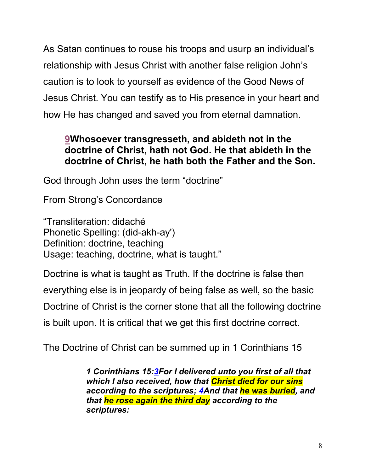As Satan continues to rouse his troops and usurp an individual's relationship with Jesus Christ with another false religion John's caution is to look to yourself as evidence of the Good News of Jesus Christ. You can testify as to His presence in your heart and how He has changed and saved you from eternal damnation.

## **9Whosoever transgresseth, and abideth not in the doctrine of Christ, hath not God. He that abideth in the doctrine of Christ, he hath both the Father and the Son.**

God through John uses the term "doctrine"

From Strong's Concordance

"Transliteration: didaché Phonetic Spelling: (did-akh-ay') Definition: doctrine, teaching Usage: teaching, doctrine, what is taught."

Doctrine is what is taught as Truth. If the doctrine is false then

everything else is in jeopardy of being false as well, so the basic

Doctrine of Christ is the corner stone that all the following doctrine

is built upon. It is critical that we get this first doctrine correct.

The Doctrine of Christ can be summed up in 1 Corinthians 15

*1 Corinthians 15:3For I delivered unto you first of all that which I also received, how that Christ died for our sins according to the scriptures; 4And that he was buried, and that he rose again the third day according to the scriptures:*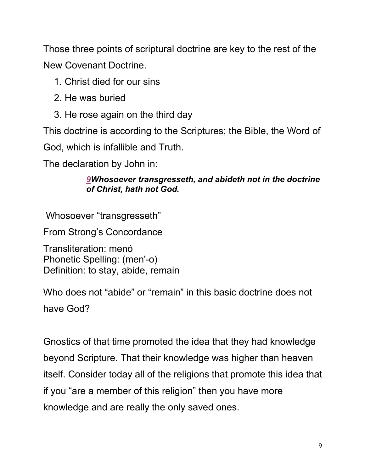Those three points of scriptural doctrine are key to the rest of the New Covenant Doctrine.

- 1. Christ died for our sins
- 2. He was buried
- 3. He rose again on the third day

This doctrine is according to the Scriptures; the Bible, the Word of

God, which is infallible and Truth.

The declaration by John in:

#### *9Whosoever transgresseth, and abideth not in the doctrine of Christ, hath not God.*

Whosoever "transgresseth"

From Strong's Concordance

Transliteration: menó Phonetic Spelling: (men'-o) Definition: to stay, abide, remain

Who does not "abide" or "remain" in this basic doctrine does not have God?

Gnostics of that time promoted the idea that they had knowledge beyond Scripture. That their knowledge was higher than heaven itself. Consider today all of the religions that promote this idea that if you "are a member of this religion" then you have more knowledge and are really the only saved ones.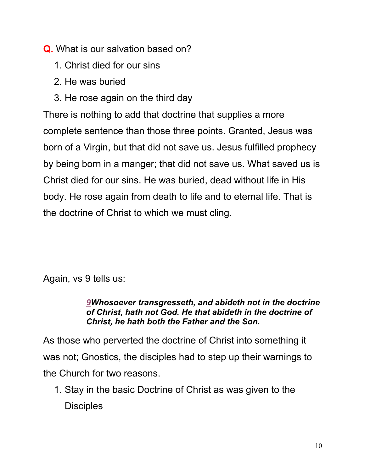## **Q.** What is our salvation based on?

- 1. Christ died for our sins
- 2. He was buried
- 3. He rose again on the third day

There is nothing to add that doctrine that supplies a more complete sentence than those three points. Granted, Jesus was born of a Virgin, but that did not save us. Jesus fulfilled prophecy by being born in a manger; that did not save us. What saved us is Christ died for our sins. He was buried, dead without life in His body. He rose again from death to life and to eternal life. That is the doctrine of Christ to which we must cling.

Again, vs 9 tells us:

#### *9Whosoever transgresseth, and abideth not in the doctrine of Christ, hath not God. He that abideth in the doctrine of Christ, he hath both the Father and the Son.*

As those who perverted the doctrine of Christ into something it was not; Gnostics, the disciples had to step up their warnings to the Church for two reasons.

1. Stay in the basic Doctrine of Christ as was given to the **Disciples**